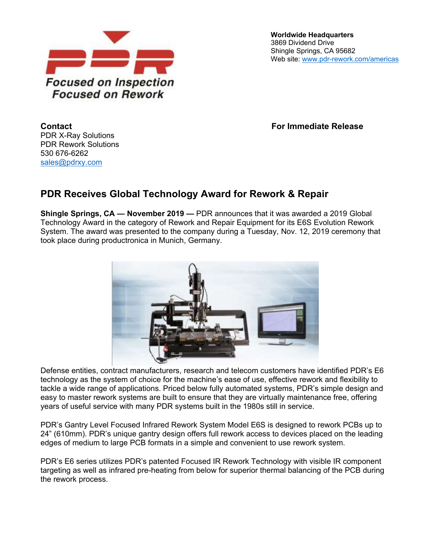

**Worldwide Headquarters** 3869 Dividend Drive Shingle Springs, CA 95682 Web site: [www.pdr-rework.com/americas](http://www.pdr-rework.com/americas)

**Contact For Immediate Release**

PDR X-Ray Solutions PDR Rework Solutions 530 676-6262 [sales@pdrxy.com](mailto:sales@pdrxy.com)

## **PDR Receives Global Technology Award for Rework & Repair**

**Shingle Springs, CA — November 2019 —** PDR announces that it was awarded a 2019 Global Technology Award in the category of Rework and Repair Equipment for its E6S Evolution Rework System. The award was presented to the company during a Tuesday, Nov. 12, 2019 ceremony that took place during productronica in Munich, Germany.



Defense entities, contract manufacturers, research and telecom customers have identified PDR's E6 technology as the system of choice for the machine's ease of use, effective rework and flexibility to tackle a wide range of applications. Priced below fully automated systems, PDR's simple design and easy to master rework systems are built to ensure that they are virtually maintenance free, offering years of useful service with many PDR systems built in the 1980s still in service.

PDR's Gantry Level Focused Infrared Rework System Model E6S is designed to rework PCBs up to 24" (610mm). PDR's unique gantry design offers full rework access to devices placed on the leading edges of medium to large PCB formats in a simple and convenient to use rework system.

PDR's E6 series utilizes PDR's patented Focused IR Rework Technology with visible IR component targeting as well as infrared pre-heating from below for superior thermal balancing of the PCB during the rework process.